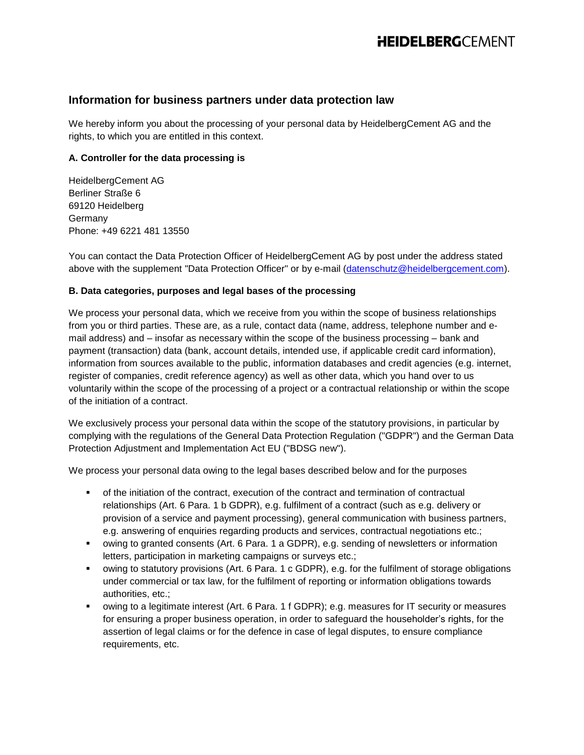# **Information for business partners under data protection law**

We hereby inform you about the processing of your personal data by HeidelbergCement AG and the rights, to which you are entitled in this context.

### **A. Controller for the data processing is**

HeidelbergCement AG Berliner Straße 6 69120 Heidelberg Germany Phone: +49 6221 481 13550

You can contact the Data Protection Officer of HeidelbergCement AG by post under the address stated above with the supplement "Data Protection Officer" or by e-mail [\(datenschutz@heidelbergcement.com\)](mailto:datenschutz@heidelbergcement.com).

### **B. Data categories, purposes and legal bases of the processing**

We process your personal data, which we receive from you within the scope of business relationships from you or third parties. These are, as a rule, contact data (name, address, telephone number and email address) and – insofar as necessary within the scope of the business processing – bank and payment (transaction) data (bank, account details, intended use, if applicable credit card information), information from sources available to the public, information databases and credit agencies (e.g. internet, register of companies, credit reference agency) as well as other data, which you hand over to us voluntarily within the scope of the processing of a project or a contractual relationship or within the scope of the initiation of a contract.

We exclusively process your personal data within the scope of the statutory provisions, in particular by complying with the regulations of the General Data Protection Regulation ("GDPR") and the German Data Protection Adjustment and Implementation Act EU ("BDSG new").

We process your personal data owing to the legal bases described below and for the purposes

- of the initiation of the contract, execution of the contract and termination of contractual relationships (Art. 6 Para. 1 b GDPR), e.g. fulfilment of a contract (such as e.g. delivery or provision of a service and payment processing), general communication with business partners, e.g. answering of enquiries regarding products and services, contractual negotiations etc.;
- owing to granted consents (Art. 6 Para. 1 a GDPR), e.g. sending of newsletters or information letters, participation in marketing campaigns or surveys etc.;
- owing to statutory provisions (Art. 6 Para. 1 c GDPR), e.g. for the fulfilment of storage obligations under commercial or tax law, for the fulfilment of reporting or information obligations towards authorities, etc.;
- owing to a legitimate interest (Art. 6 Para. 1 f GDPR); e.g. measures for IT security or measures for ensuring a proper business operation, in order to safeguard the householder's rights, for the assertion of legal claims or for the defence in case of legal disputes, to ensure compliance requirements, etc.